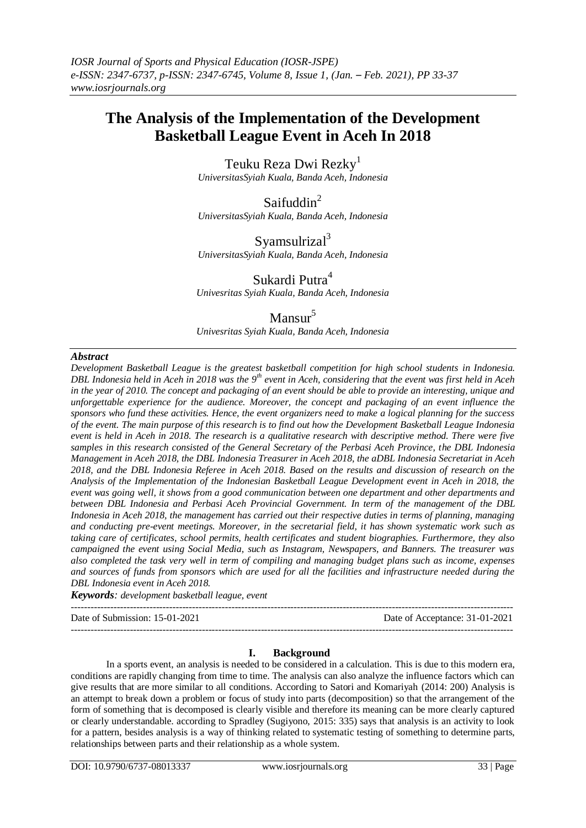# **The Analysis of the Implementation of the Development Basketball League Event in Aceh In 2018**

Teuku Reza Dwi Rezky<sup>1</sup> *UniversitasSyiah Kuala, Banda Aceh, Indonesia*

Saifuddin<sup>2</sup> *UniversitasSyiah Kuala, Banda Aceh, Indonesia*

Syamsulrizal<sup>3</sup> *UniversitasSyiah Kuala, Banda Aceh, Indonesia*

Sukardi Putra<sup>4</sup> *Univesritas Syiah Kuala, Banda Aceh, Indonesia*

# Mansur<sup>5</sup>

*Univesritas Syiah Kuala, Banda Aceh, Indonesia*

# *Abstract*

*Development Basketball League is the greatest basketball competition for high school students in Indonesia. DBL Indonesia held in Aceh in 2018 was the 9th event in Aceh, considering that the event was first held in Aceh in the year of 2010. The concept and packaging of an event should be able to provide an interesting, unique and unforgettable experience for the audience. Moreover, the concept and packaging of an event influence the sponsors who fund these activities. Hence, the event organizers need to make a logical planning for the success of the event. The main purpose of this research is to find out how the Development Basketball League Indonesia event is held in Aceh in 2018. The research is a qualitative research with descriptive method. There were five samples in this research consisted of the General Secretary of the Perbasi Aceh Province, the DBL Indonesia Management in Aceh 2018, the DBL Indonesia Treasurer in Aceh 2018, the aDBL Indonesia Secretariat in Aceh 2018, and the DBL Indonesia Referee in Aceh 2018. Based on the results and discussion of research on the Analysis of the Implementation of the Indonesian Basketball League Development event in Aceh in 2018, the event was going well, it shows from a good communication between one department and other departments and between DBL Indonesia and Perbasi Aceh Provincial Government. In term of the management of the DBL Indonesia in Aceh 2018, the management has carried out their respective duties in terms of planning, managing and conducting pre-event meetings. Moreover, in the secretarial field, it has shown systematic work such as taking care of certificates, school permits, health certificates and student biographies. Furthermore, they also campaigned the event using Social Media, such as Instagram, Newspapers, and Banners. The treasurer was also completed the task very well in term of compiling and managing budget plans such as income, expenses and sources of funds from sponsors which are used for all the facilities and infrastructure needed during the DBL Indonesia event in Aceh 2018.*

*Keywords: development basketball league, event*  ---------------------------------------------------------------------------------------------------------------------------------------

Date of Submission: 15-01-2021 Date of Acceptance: 31-01-2021 ---------------------------------------------------------------------------------------------------------------------------------------

# **I. Background**

In a sports event, an analysis is needed to be considered in a calculation. This is due to this modern era, conditions are rapidly changing from time to time. The analysis can also analyze the influence factors which can give results that are more similar to all conditions. According to Satori and Komariyah (2014: 200) Analysis is an attempt to break down a problem or focus of study into parts (decomposition) so that the arrangement of the form of something that is decomposed is clearly visible and therefore its meaning can be more clearly captured or clearly understandable. according to Spradley (Sugiyono, 2015: 335) says that analysis is an activity to look for a pattern, besides analysis is a way of thinking related to systematic testing of something to determine parts, relationships between parts and their relationship as a whole system.

DOI: 10.9790/6737-08013337 www.iosrjournals.org 33 | Page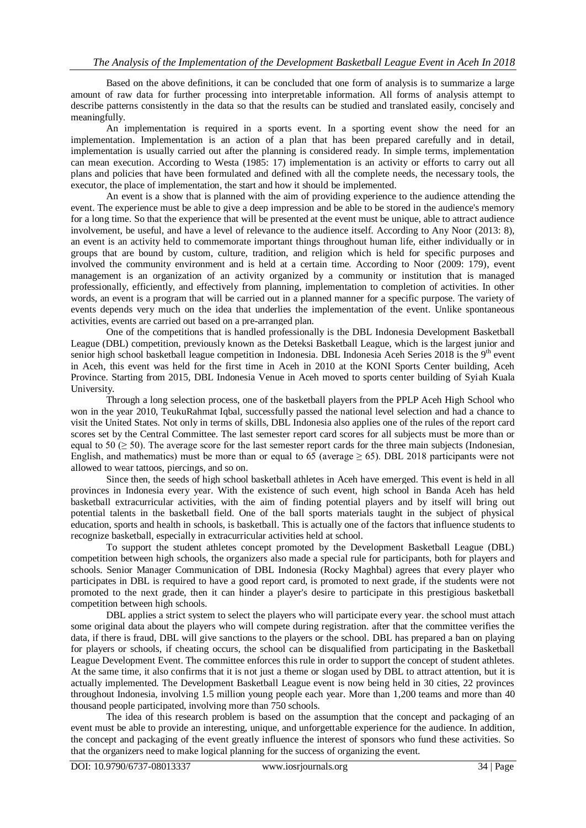Based on the above definitions, it can be concluded that one form of analysis is to summarize a large amount of raw data for further processing into interpretable information. All forms of analysis attempt to describe patterns consistently in the data so that the results can be studied and translated easily, concisely and meaningfully.

An implementation is required in a sports event. In a sporting event show the need for an implementation. Implementation is an action of a plan that has been prepared carefully and in detail, implementation is usually carried out after the planning is considered ready. In simple terms, implementation can mean execution. According to Westa (1985: 17) implementation is an activity or efforts to carry out all plans and policies that have been formulated and defined with all the complete needs, the necessary tools, the executor, the place of implementation, the start and how it should be implemented.

An event is a show that is planned with the aim of providing experience to the audience attending the event. The experience must be able to give a deep impression and be able to be stored in the audience's memory for a long time. So that the experience that will be presented at the event must be unique, able to attract audience involvement, be useful, and have a level of relevance to the audience itself. According to Any Noor (2013: 8), an event is an activity held to commemorate important things throughout human life, either individually or in groups that are bound by custom, culture, tradition, and religion which is held for specific purposes and involved the community environment and is held at a certain time. According to Noor (2009: 179), event management is an organization of an activity organized by a community or institution that is managed professionally, efficiently, and effectively from planning, implementation to completion of activities. In other words, an event is a program that will be carried out in a planned manner for a specific purpose. The variety of events depends very much on the idea that underlies the implementation of the event. Unlike spontaneous activities, events are carried out based on a pre-arranged plan.

One of the competitions that is handled professionally is the DBL Indonesia Development Basketball League (DBL) competition, previously known as the Deteksi Basketball League, which is the largest junior and senior high school basketball league competition in Indonesia. DBL Indonesia Aceh Series 2018 is the 9<sup>th</sup> event in Aceh, this event was held for the first time in Aceh in 2010 at the KONI Sports Center building, Aceh Province. Starting from 2015, DBL Indonesia Venue in Aceh moved to sports center building of Syiah Kuala University.

Through a long selection process, one of the basketball players from the PPLP Aceh High School who won in the year 2010, TeukuRahmat Iqbal, successfully passed the national level selection and had a chance to visit the United States. Not only in terms of skills, DBL Indonesia also applies one of the rules of the report card scores set by the Central Committee. The last semester report card scores for all subjects must be more than or equal to 50 ( $\geq$  50). The average score for the last semester report cards for the three main subjects (Indonesian, English, and mathematics) must be more than or equal to 65 (average  $\geq$  65). DBL 2018 participants were not allowed to wear tattoos, piercings, and so on.

Since then, the seeds of high school basketball athletes in Aceh have emerged. This event is held in all provinces in Indonesia every year. With the existence of such event, high school in Banda Aceh has held basketball extracurricular activities, with the aim of finding potential players and by itself will bring out potential talents in the basketball field. One of the ball sports materials taught in the subject of physical education, sports and health in schools, is basketball. This is actually one of the factors that influence students to recognize basketball, especially in extracurricular activities held at school.

To support the student athletes concept promoted by the Development Basketball League (DBL) competition between high schools, the organizers also made a special rule for participants, both for players and schools. Senior Manager Communication of DBL Indonesia (Rocky Maghbal) agrees that every player who participates in DBL is required to have a good report card, is promoted to next grade, if the students were not promoted to the next grade, then it can hinder a player's desire to participate in this prestigious basketball competition between high schools.

DBL applies a strict system to select the players who will participate every year. the school must attach some original data about the players who will compete during registration. after that the committee verifies the data, if there is fraud, DBL will give sanctions to the players or the school. DBL has prepared a ban on playing for players or schools, if cheating occurs, the school can be disqualified from participating in the Basketball League Development Event. The committee enforces this rule in order to support the concept of student athletes. At the same time, it also confirms that it is not just a theme or slogan used by DBL to attract attention, but it is actually implemented. The Development Basketball League event is now being held in 30 cities, 22 provinces throughout Indonesia, involving 1.5 million young people each year. More than 1,200 teams and more than 40 thousand people participated, involving more than 750 schools.

The idea of this research problem is based on the assumption that the concept and packaging of an event must be able to provide an interesting, unique, and unforgettable experience for the audience. In addition, the concept and packaging of the event greatly influence the interest of sponsors who fund these activities. So that the organizers need to make logical planning for the success of organizing the event.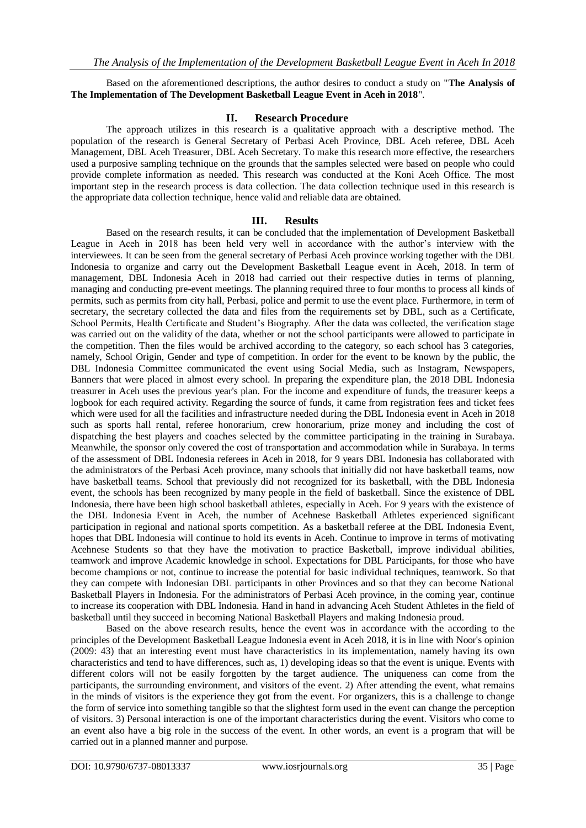### Based on the aforementioned descriptions, the author desires to conduct a study on "**The Analysis of The Implementation of The Development Basketball League Event in Aceh in 2018**".

#### **II. Research Procedure**

The approach utilizes in this research is a qualitative approach with a descriptive method. The population of the research is General Secretary of Perbasi Aceh Province, DBL Aceh referee, DBL Aceh Management, DBL Aceh Treasurer, DBL Aceh Secretary. To make this research more effective, the researchers used a purposive sampling technique on the grounds that the samples selected were based on people who could provide complete information as needed. This research was conducted at the Koni Aceh Office. The most important step in the research process is data collection. The data collection technique used in this research is the appropriate data collection technique, hence valid and reliable data are obtained.

#### **III. Results**

Based on the research results, it can be concluded that the implementation of Development Basketball League in Aceh in 2018 has been held very well in accordance with the author's interview with the interviewees. It can be seen from the general secretary of Perbasi Aceh province working together with the DBL Indonesia to organize and carry out the Development Basketball League event in Aceh, 2018. In term of management, DBL Indonesia Aceh in 2018 had carried out their respective duties in terms of planning, managing and conducting pre-event meetings. The planning required three to four months to process all kinds of permits, such as permits from city hall, Perbasi, police and permit to use the event place. Furthermore, in term of secretary, the secretary collected the data and files from the requirements set by DBL, such as a Certificate, School Permits, Health Certificate and Student's Biography. After the data was collected, the verification stage was carried out on the validity of the data, whether or not the school participants were allowed to participate in the competition. Then the files would be archived according to the category, so each school has 3 categories, namely, School Origin, Gender and type of competition. In order for the event to be known by the public, the DBL Indonesia Committee communicated the event using Social Media, such as Instagram, Newspapers, Banners that were placed in almost every school. In preparing the expenditure plan, the 2018 DBL Indonesia treasurer in Aceh uses the previous year's plan. For the income and expenditure of funds, the treasurer keeps a logbook for each required activity. Regarding the source of funds, it came from registration fees and ticket fees which were used for all the facilities and infrastructure needed during the DBL Indonesia event in Aceh in 2018 such as sports hall rental, referee honorarium, crew honorarium, prize money and including the cost of dispatching the best players and coaches selected by the committee participating in the training in Surabaya. Meanwhile, the sponsor only covered the cost of transportation and accommodation while in Surabaya. In terms of the assessment of DBL Indonesia referees in Aceh in 2018, for 9 years DBL Indonesia has collaborated with the administrators of the Perbasi Aceh province, many schools that initially did not have basketball teams, now have basketball teams. School that previously did not recognized for its basketball, with the DBL Indonesia event, the schools has been recognized by many people in the field of basketball. Since the existence of DBL Indonesia, there have been high school basketball athletes, especially in Aceh. For 9 years with the existence of the DBL Indonesia Event in Aceh, the number of Acehnese Basketball Athletes experienced significant participation in regional and national sports competition. As a basketball referee at the DBL Indonesia Event, hopes that DBL Indonesia will continue to hold its events in Aceh. Continue to improve in terms of motivating Acehnese Students so that they have the motivation to practice Basketball, improve individual abilities, teamwork and improve Academic knowledge in school. Expectations for DBL Participants, for those who have become champions or not, continue to increase the potential for basic individual techniques, teamwork. So that they can compete with Indonesian DBL participants in other Provinces and so that they can become National Basketball Players in Indonesia. For the administrators of Perbasi Aceh province, in the coming year, continue to increase its cooperation with DBL Indonesia. Hand in hand in advancing Aceh Student Athletes in the field of basketball until they succeed in becoming National Basketball Players and making Indonesia proud.

Based on the above research results, hence the event was in accordance with the according to the principles of the Development Basketball League Indonesia event in Aceh 2018, it is in line with Noor's opinion (2009: 43) that an interesting event must have characteristics in its implementation, namely having its own characteristics and tend to have differences, such as, 1) developing ideas so that the event is unique. Events with different colors will not be easily forgotten by the target audience. The uniqueness can come from the participants, the surrounding environment, and visitors of the event. 2) After attending the event, what remains in the minds of visitors is the experience they got from the event. For organizers, this is a challenge to change the form of service into something tangible so that the slightest form used in the event can change the perception of visitors. 3) Personal interaction is one of the important characteristics during the event. Visitors who come to an event also have a big role in the success of the event. In other words, an event is a program that will be carried out in a planned manner and purpose.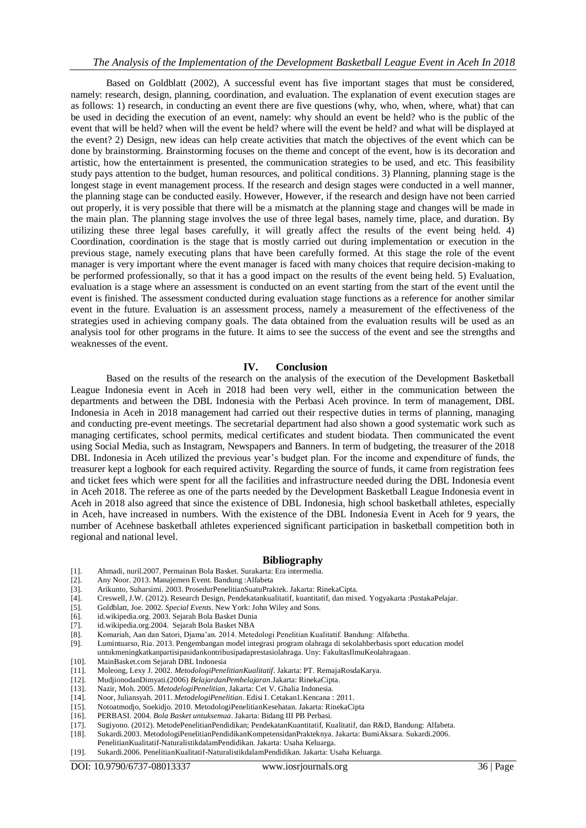## *The Analysis of the Implementation of the Development Basketball League Event in Aceh In 2018*

Based on Goldblatt (2002), A successful event has five important stages that must be considered, namely: research, design, planning, coordination, and evaluation. The explanation of event execution stages are as follows: 1) research, in conducting an event there are five questions (why, who, when, where, what) that can be used in deciding the execution of an event, namely: why should an event be held? who is the public of the event that will be held? when will the event be held? where will the event be held? and what will be displayed at the event? 2) Design, new ideas can help create activities that match the objectives of the event which can be done by brainstorming. Brainstorming focuses on the theme and concept of the event, how is its decoration and artistic, how the entertainment is presented, the communication strategies to be used, and etc. This feasibility study pays attention to the budget, human resources, and political conditions. 3) Planning, planning stage is the longest stage in event management process. If the research and design stages were conducted in a well manner, the planning stage can be conducted easily. However, However, if the research and design have not been carried out properly, it is very possible that there will be a mismatch at the planning stage and changes will be made in the main plan. The planning stage involves the use of three legal bases, namely time, place, and duration. By utilizing these three legal bases carefully, it will greatly affect the results of the event being held. 4) Coordination, coordination is the stage that is mostly carried out during implementation or execution in the previous stage, namely executing plans that have been carefully formed. At this stage the role of the event manager is very important where the event manager is faced with many choices that require decision-making to be performed professionally, so that it has a good impact on the results of the event being held. 5) Evaluation, evaluation is a stage where an assessment is conducted on an event starting from the start of the event until the event is finished. The assessment conducted during evaluation stage functions as a reference for another similar event in the future. Evaluation is an assessment process, namely a measurement of the effectiveness of the strategies used in achieving company goals. The data obtained from the evaluation results will be used as an analysis tool for other programs in the future. It aims to see the success of the event and see the strengths and weaknesses of the event.

#### **IV. Conclusion**

Based on the results of the research on the analysis of the execution of the Development Basketball League Indonesia event in Aceh in 2018 had been very well, either in the communication between the departments and between the DBL Indonesia with the Perbasi Aceh province. In term of management, DBL Indonesia in Aceh in 2018 management had carried out their respective duties in terms of planning, managing and conducting pre-event meetings. The secretarial department had also shown a good systematic work such as managing certificates, school permits, medical certificates and student biodata. Then communicated the event using Social Media, such as Instagram, Newspapers and Banners. In term of budgeting, the treasurer of the 2018 DBL Indonesia in Aceh utilized the previous year's budget plan. For the income and expenditure of funds, the treasurer kept a logbook for each required activity. Regarding the source of funds, it came from registration fees and ticket fees which were spent for all the facilities and infrastructure needed during the DBL Indonesia event in Aceh 2018. The referee as one of the parts needed by the Development Basketball League Indonesia event in Aceh in 2018 also agreed that since the existence of DBL Indonesia, high school basketball athletes, especially in Aceh, have increased in numbers. With the existence of the DBL Indonesia Event in Aceh for 9 years, the number of Acehnese basketball athletes experienced significant participation in basketball competition both in regional and national level.

#### **Bibliography**

- [1]. Ahmadi, nuril.2007. Permainan Bola Basket. Surakarta: Era intermedia.
- [2]. Any Noor. 2013. Manajemen Event. Bandung :Alfabeta
- [3]. Arikunto, Suharsimi. 2003. ProsedurPenelitianSuatuPraktek. Jakarta: RinekaCipta.
- [4]. Creswell, J.W. (2012). Research Design, Pendekatankualitatif, kuantitatif, dan mixed. Yogyakarta :PustakaPelajar. [5]. Goldblatt, Joe. 2002. Special Events. New York: John Wiley and Sons.
- [5]. Goldblatt, Joe. 2002. *Special Events*. New York: John Wiley and Sons.
- [6]. id.wikipedia.org. 2003. Sejarah Bola Basket Dunia
- [7]. id.wikipedia.org.2004. Sejarah Bola Basket NBA
- [8]. Komariah, Aan dan Satori, Djama'an. 2014. Metedologi Penelitian Kualitatif. Bandung: Alfabetha.
- [9]. Lumintuarso, Ria. 2013. Pengembangan model integrasi program olahraga di sekolahberbasis sport education model
- untukmeningkatkanpartisipasidankontribusipadaprestasiolahraga. Uny: FakultasIlmuKeolahragaan.
- [10]. MainBasket.com Sejarah DBL Indonesia
- [11]. Moleong, Lexy J. 2002. *MetodologiPenelitianKualitatif*. Jakarta: PT. RemajaRosdaKarya.
- [12]. MudjionodanDimyati.(2006) *BelajardanPembelajaran.*Jakarta: RinekaCipta.
- [13]. Nazir, Moh. 2005. *MetodelogiPenelitian,* Jakarta: Cet V. Ghalia Indonesia.
- [14]. Noor, Juliansyah. 2011. *MetodelogiPenelitian*. Edisi I. Cetakan1.Kencana : 2011.
- [15]. Notoatmodjo, Soekidjo. 2010. MetodologiPenelitianKesehatan. Jakarta: RinekaCipta
- [16]. PERBASI. 2004. *Bola Basket untuksemua*. Jakarta: Bidang III PB Perbasi.
- [17]. Sugiyono. (2012). MetodePenelitianPendidikan; PendekatanKuantitatif, Kualitatif, dan R&D, Bandung: Alfabeta.
- [18]. Sukardi.2003. MetodologiPenelitianPendidikanKompetensidanPrakteknya. Jakarta: BumiAksara. Sukardi.2006.
- PenelitianKualitatif-NaturalistikdalamPendidikan. Jakarta: Usaha Keluarga.
- [19]. Sukardi.2006. PenelitianKualitatif-NaturalistikdalamPendidikan. Jakarta: Usaha Keluarga.